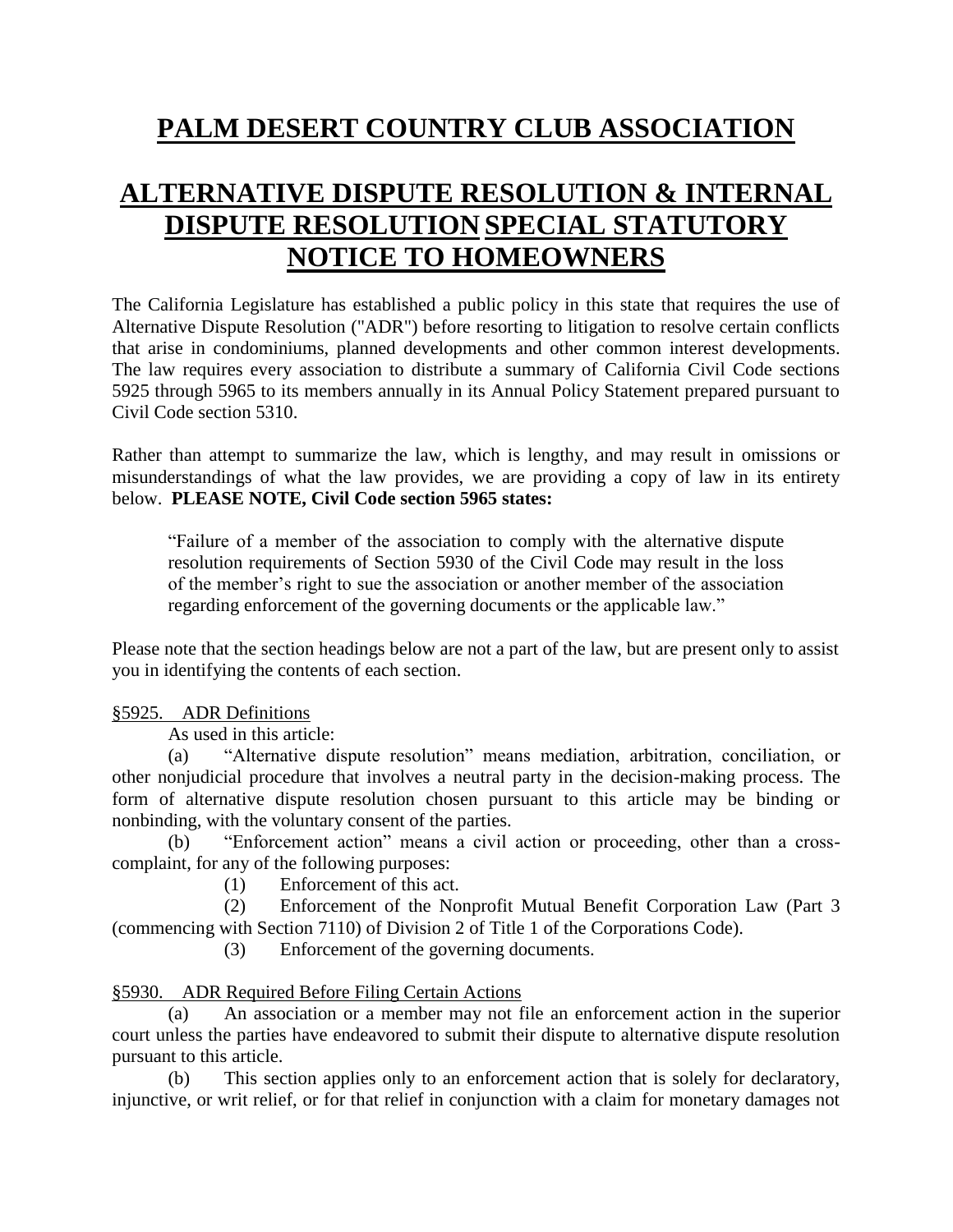# **PALM DESERT COUNTRY CLUB ASSOCIATION**

# **ALTERNATIVE DISPUTE RESOLUTION & INTERNAL DISPUTE RESOLUTION SPECIAL STATUTORY NOTICE TO HOMEOWNERS**

The California Legislature has established a public policy in this state that requires the use of Alternative Dispute Resolution ("ADR") before resorting to litigation to resolve certain conflicts that arise in condominiums, planned developments and other common interest developments. The law requires every association to distribute a summary of California Civil Code sections 5925 through 5965 to its members annually in its Annual Policy Statement prepared pursuant to Civil Code section 5310.

Rather than attempt to summarize the law, which is lengthy, and may result in omissions or misunderstandings of what the law provides, we are providing a copy of law in its entirety below. **PLEASE NOTE, Civil Code section 5965 states:**

"Failure of a member of the association to comply with the alternative dispute resolution requirements of Section 5930 of the Civil Code may result in the loss of the member's right to sue the association or another member of the association regarding enforcement of the governing documents or the applicable law."

Please note that the section headings below are not a part of the law, but are present only to assist you in identifying the contents of each section.

#### §5925. ADR Definitions

As used in this article:

(a) "Alternative dispute resolution" means mediation, arbitration, conciliation, or other nonjudicial procedure that involves a neutral party in the decision-making process. The form of alternative dispute resolution chosen pursuant to this article may be binding or nonbinding, with the voluntary consent of the parties.

(b) "Enforcement action" means a civil action or proceeding, other than a crosscomplaint, for any of the following purposes:

(1) Enforcement of this act.

(2) Enforcement of the Nonprofit Mutual Benefit Corporation Law (Part 3 (commencing with Section 7110) of Division 2 of Title 1 of the Corporations Code).

(3) Enforcement of the governing documents.

### §5930. ADR Required Before Filing Certain Actions

(a) An association or a member may not file an enforcement action in the superior court unless the parties have endeavored to submit their dispute to alternative dispute resolution pursuant to this article.

(b) This section applies only to an enforcement action that is solely for declaratory, injunctive, or writ relief, or for that relief in conjunction with a claim for monetary damages not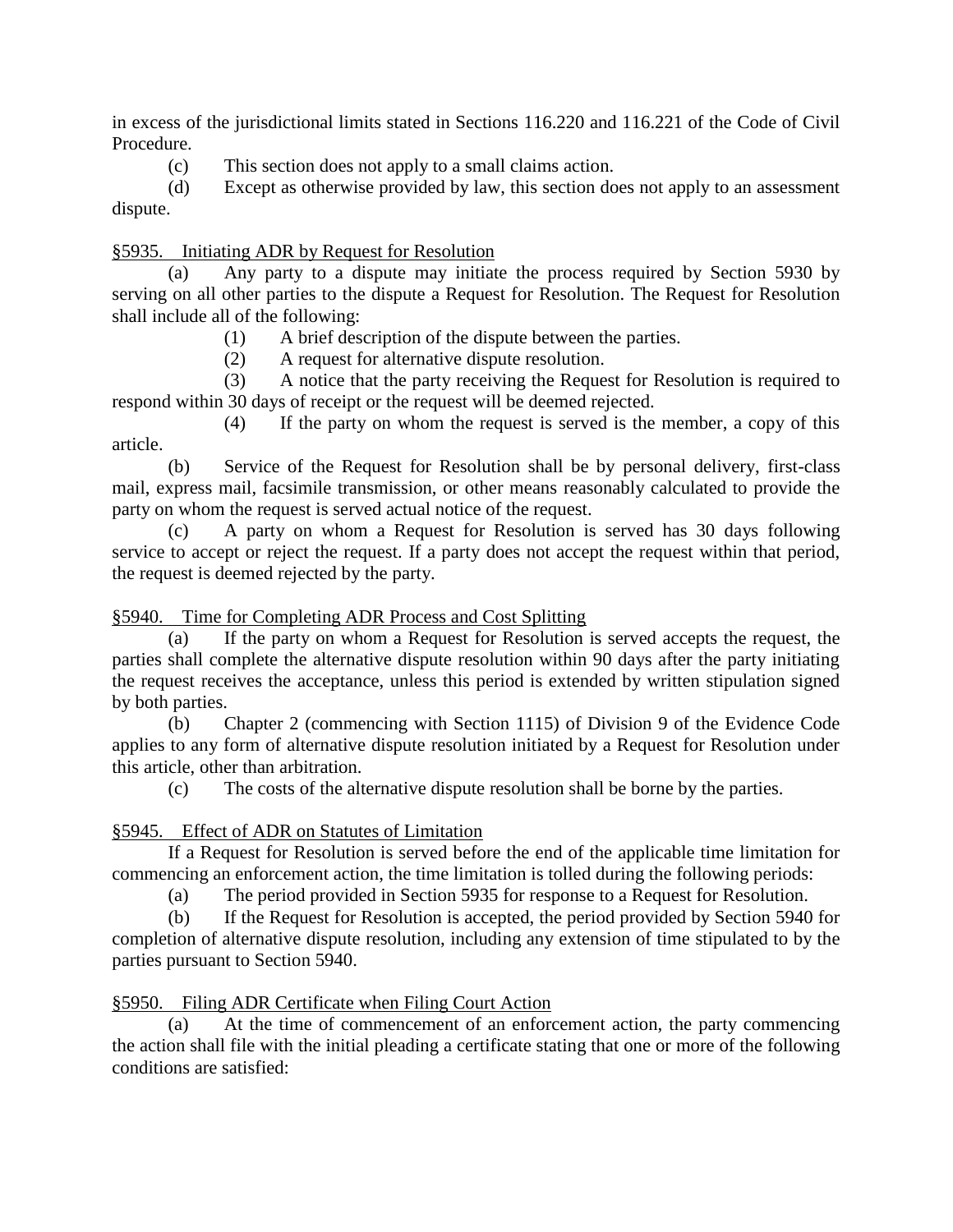in excess of the jurisdictional limits stated in Sections 116.220 and 116.221 of the Code of Civil Procedure.

(c) This section does not apply to a small claims action.

(d) Except as otherwise provided by law, this section does not apply to an assessment dispute.

#### §5935. Initiating ADR by Request for Resolution

(a) Any party to a dispute may initiate the process required by Section 5930 by serving on all other parties to the dispute a Request for Resolution. The Request for Resolution shall include all of the following:

(1) A brief description of the dispute between the parties.

(2) A request for alternative dispute resolution.

(3) A notice that the party receiving the Request for Resolution is required to respond within 30 days of receipt or the request will be deemed rejected.

(4) If the party on whom the request is served is the member, a copy of this article.

(b) Service of the Request for Resolution shall be by personal delivery, first-class mail, express mail, facsimile transmission, or other means reasonably calculated to provide the party on whom the request is served actual notice of the request.

(c) A party on whom a Request for Resolution is served has 30 days following service to accept or reject the request. If a party does not accept the request within that period, the request is deemed rejected by the party.

#### §5940. Time for Completing ADR Process and Cost Splitting

(a) If the party on whom a Request for Resolution is served accepts the request, the parties shall complete the alternative dispute resolution within 90 days after the party initiating the request receives the acceptance, unless this period is extended by written stipulation signed by both parties.

(b) Chapter 2 (commencing with Section 1115) of Division 9 of the Evidence Code applies to any form of alternative dispute resolution initiated by a Request for Resolution under this article, other than arbitration.

(c) The costs of the alternative dispute resolution shall be borne by the parties.

### §5945. Effect of ADR on Statutes of Limitation

If a Request for Resolution is served before the end of the applicable time limitation for commencing an enforcement action, the time limitation is tolled during the following periods:

(a) The period provided in Section 5935 for response to a Request for Resolution.

(b) If the Request for Resolution is accepted, the period provided by Section 5940 for completion of alternative dispute resolution, including any extension of time stipulated to by the parties pursuant to Section 5940.

§5950. Filing ADR Certificate when Filing Court Action

(a) At the time of commencement of an enforcement action, the party commencing the action shall file with the initial pleading a certificate stating that one or more of the following conditions are satisfied: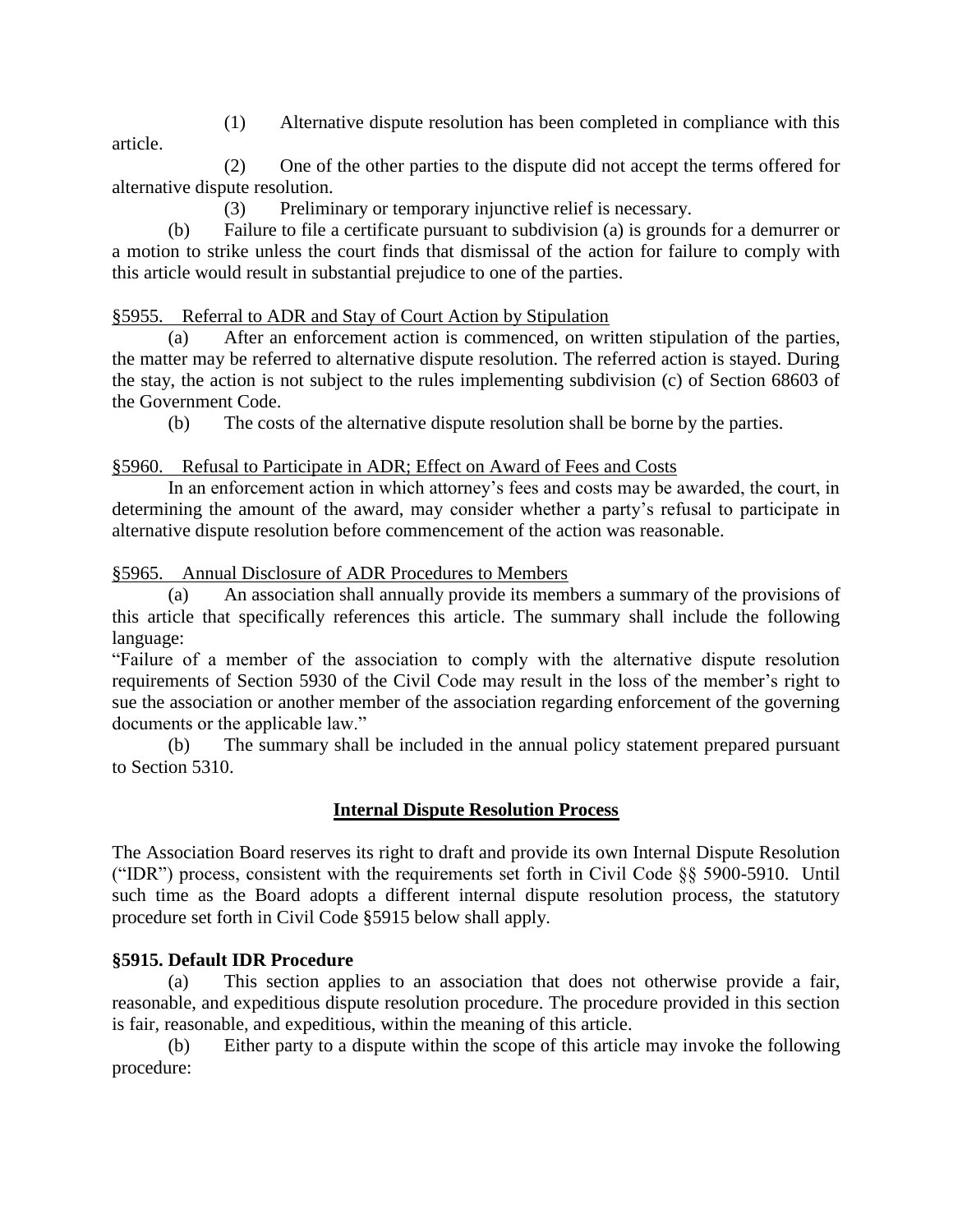(1) Alternative dispute resolution has been completed in compliance with this

article.

(2) One of the other parties to the dispute did not accept the terms offered for alternative dispute resolution.

(3) Preliminary or temporary injunctive relief is necessary.

(b) Failure to file a certificate pursuant to subdivision (a) is grounds for a demurrer or a motion to strike unless the court finds that dismissal of the action for failure to comply with this article would result in substantial prejudice to one of the parties.

## §5955. Referral to ADR and Stay of Court Action by Stipulation

(a) After an enforcement action is commenced, on written stipulation of the parties, the matter may be referred to alternative dispute resolution. The referred action is stayed. During the stay, the action is not subject to the rules implementing subdivision (c) of Section 68603 of the Government Code.

(b) The costs of the alternative dispute resolution shall be borne by the parties.

## §5960. Refusal to Participate in ADR; Effect on Award of Fees and Costs

In an enforcement action in which attorney's fees and costs may be awarded, the court, in determining the amount of the award, may consider whether a party's refusal to participate in alternative dispute resolution before commencement of the action was reasonable.

### §5965. Annual Disclosure of ADR Procedures to Members

(a) An association shall annually provide its members a summary of the provisions of this article that specifically references this article. The summary shall include the following language:

"Failure of a member of the association to comply with the alternative dispute resolution requirements of Section 5930 of the Civil Code may result in the loss of the member's right to sue the association or another member of the association regarding enforcement of the governing documents or the applicable law."

(b) The summary shall be included in the annual policy statement prepared pursuant to Section 5310.

## **Internal Dispute Resolution Process**

The Association Board reserves its right to draft and provide its own Internal Dispute Resolution ("IDR") process, consistent with the requirements set forth in Civil Code §§ 5900-5910. Until such time as the Board adopts a different internal dispute resolution process, the statutory procedure set forth in Civil Code §5915 below shall apply.

### **§5915. Default IDR Procedure**

(a) This section applies to an association that does not otherwise provide a fair, reasonable, and expeditious dispute resolution procedure. The procedure provided in this section is fair, reasonable, and expeditious, within the meaning of this article.

(b) Either party to a dispute within the scope of this article may invoke the following procedure: